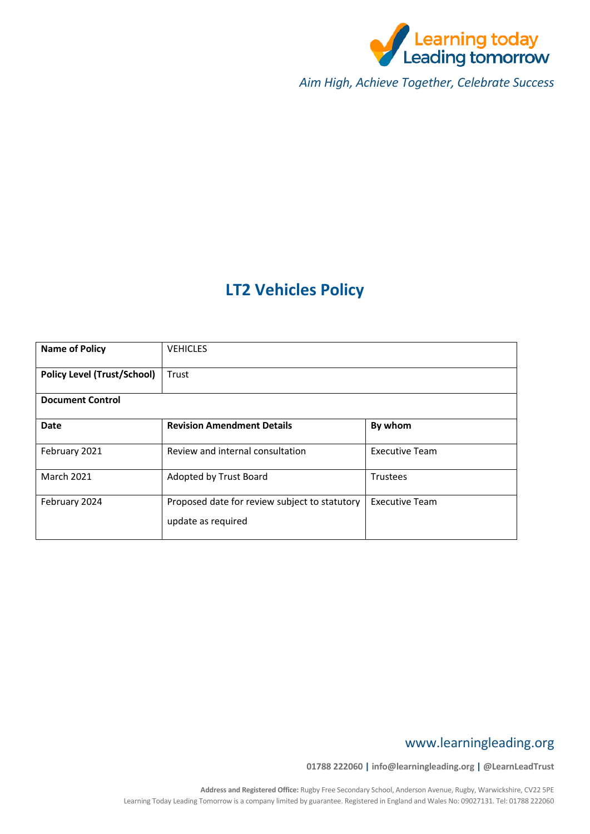

*Aim High, Achieve Together, Celebrate Success*

# **LT2 Vehicles Policy**

| <b>Name of Policy</b>              | <b>VEHICLES</b>                                                     |                       |
|------------------------------------|---------------------------------------------------------------------|-----------------------|
| <b>Policy Level (Trust/School)</b> | Trust                                                               |                       |
| <b>Document Control</b>            |                                                                     |                       |
| Date                               | <b>Revision Amendment Details</b>                                   | By whom               |
| February 2021                      | Review and internal consultation                                    | <b>Executive Team</b> |
| <b>March 2021</b>                  | Adopted by Trust Board                                              | <b>Trustees</b>       |
| February 2024                      | Proposed date for review subject to statutory<br>update as required | <b>Executive Team</b> |

# www.learningleading.org

**01788 222060 | info@learningleading.org | @LearnLeadTrust**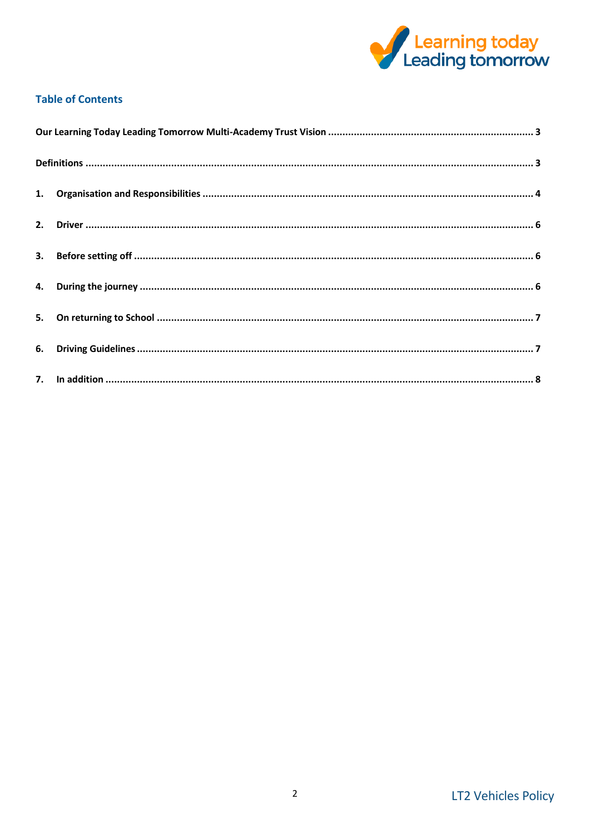

# **Table of Contents**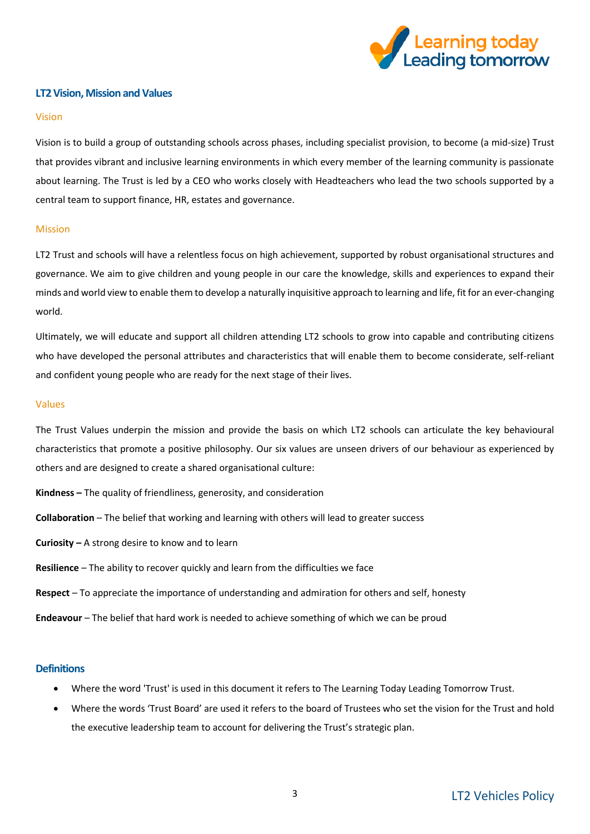

# <span id="page-2-0"></span>**LT2 Vision, Mission and Values**

#### Vision

Vision is to build a group of outstanding schools across phases, including specialist provision, to become (a mid-size) Trust that provides vibrant and inclusive learning environments in which every member of the learning community is passionate about learning. The Trust is led by a CEO who works closely with Headteachers who lead the two schools supported by a central team to support finance, HR, estates and governance.

#### Mission

LT2 Trust and schools will have a relentless focus on high achievement, supported by robust organisational structures and governance. We aim to give children and young people in our care the knowledge, skills and experiences to expand their minds and world view to enable them to develop a naturally inquisitive approach to learning and life, fit for an ever-changing world.

Ultimately, we will educate and support all children attending LT2 schools to grow into capable and contributing citizens who have developed the personal attributes and characteristics that will enable them to become considerate, self-reliant and confident young people who are ready for the next stage of their lives.

#### Values

The Trust Values underpin the mission and provide the basis on which LT2 schools can articulate the key behavioural characteristics that promote a positive philosophy. Our six values are unseen drivers of our behaviour as experienced by others and are designed to create a shared organisational culture:

- **Kindness –** The quality of friendliness, generosity, and consideration
- **Collaboration** The belief that working and learning with others will lead to greater success
- **Curiosity –** A strong desire to know and to learn
- **Resilience** The ability to recover quickly and learn from the difficulties we face
- **Respect** To appreciate the importance of understanding and admiration for others and self, honesty
- **Endeavour** The belief that hard work is needed to achieve something of which we can be proud

### <span id="page-2-1"></span>**Definitions**

- Where the word 'Trust' is used in this document it refers to The Learning Today Leading Tomorrow Trust.
- Where the words 'Trust Board' are used it refers to the board of Trustees who set the vision for the Trust and hold the executive leadership team to account for delivering the Trust's strategic plan.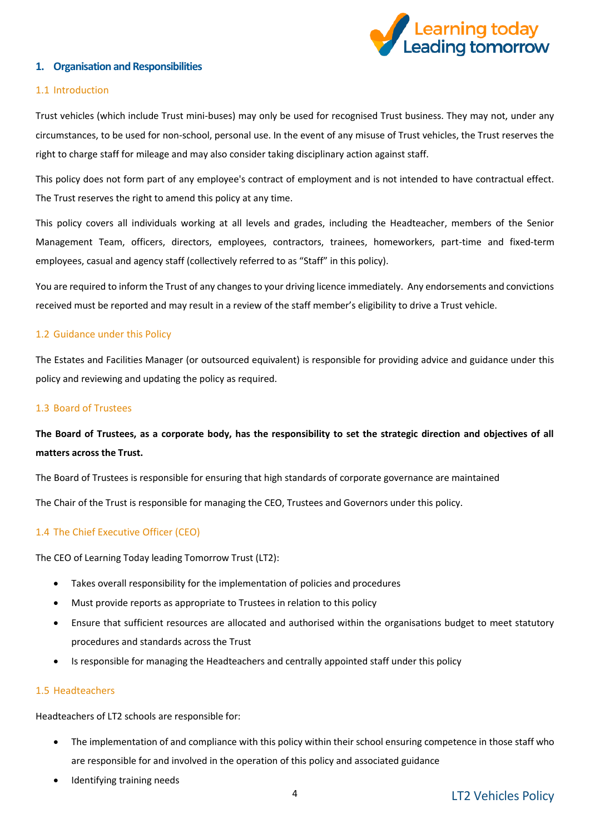

# <span id="page-3-0"></span>**1. Organisation and Responsibilities**

### 1.1 Introduction

Trust vehicles (which include Trust mini-buses) may only be used for recognised Trust business. They may not, under any circumstances, to be used for non-school, personal use. In the event of any misuse of Trust vehicles, the Trust reserves the right to charge staff for mileage and may also consider taking disciplinary action against staff.

This policy does not form part of any employee's contract of employment and is not intended to have contractual effect. The Trust reserves the right to amend this policy at any time.

This policy covers all individuals working at all levels and grades, including the Headteacher, members of the Senior Management Team, officers, directors, employees, contractors, trainees, homeworkers, part-time and fixed-term employees, casual and agency staff (collectively referred to as "Staff" in this policy).

You are required to inform the Trust of any changes to your driving licence immediately. Any endorsements and convictions received must be reported and may result in a review of the staff member's eligibility to drive a Trust vehicle.

### 1.2 Guidance under this Policy

The Estates and Facilities Manager (or outsourced equivalent) is responsible for providing advice and guidance under this policy and reviewing and updating the policy as required.

### 1.3 Board of Trustees

# **The Board of Trustees, as a corporate body, has the responsibility to set the strategic direction and objectives of all matters across the Trust.**

The Board of Trustees is responsible for ensuring that high standards of corporate governance are maintained

The Chair of the Trust is responsible for managing the CEO, Trustees and Governors under this policy.

# 1.4 The Chief Executive Officer (CEO)

The CEO of Learning Today leading Tomorrow Trust (LT2):

- Takes overall responsibility for the implementation of policies and procedures
- Must provide reports as appropriate to Trustees in relation to this policy
- Ensure that sufficient resources are allocated and authorised within the organisations budget to meet statutory procedures and standards across the Trust
- Is responsible for managing the Headteachers and centrally appointed staff under this policy

### 1.5 Headteachers

Headteachers of LT2 schools are responsible for:

- The implementation of and compliance with this policy within their school ensuring competence in those staff who are responsible for and involved in the operation of this policy and associated guidance
- Identifying training needs

# LT2 Vehicles Policy 4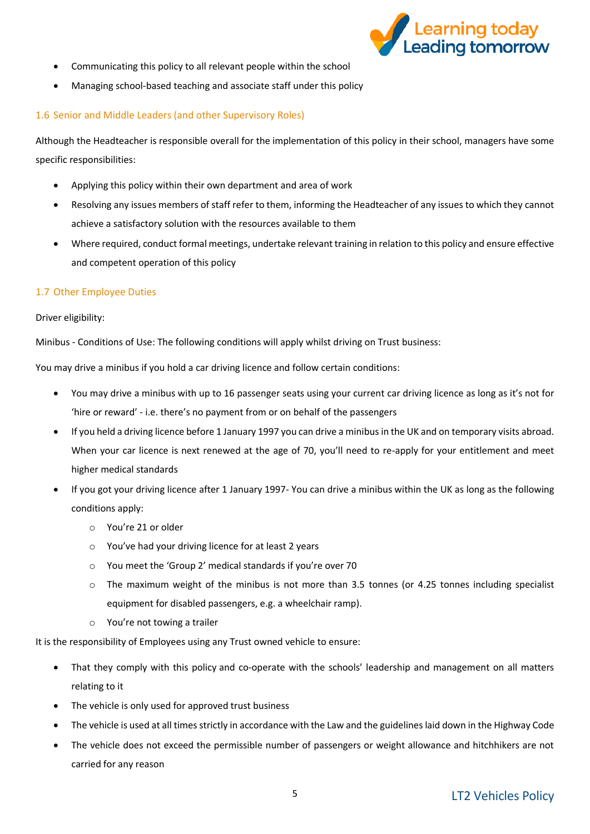

- Communicating this policy to all relevant people within the school
- Managing school-based teaching and associate staff under this policy

# 1.6 Senior and Middle Leaders (and other Supervisory Roles)

Although the Headteacher is responsible overall for the implementation of this policy in their school, managers have some specific responsibilities:

- Applying this policy within their own department and area of work
- Resolving any issues members of staff refer to them, informing the Headteacher of any issues to which they cannot achieve a satisfactory solution with the resources available to them
- Where required, conduct formal meetings, undertake relevant training in relation to this policy and ensure effective and competent operation of this policy

### 1.7 Other Employee Duties

### Driver eligibility:

Minibus - Conditions of Use: The following conditions will apply whilst driving on Trust business:

You may drive a minibus if you hold a car driving licence and follow certain conditions:

- You may drive a minibus with up to 16 passenger seats using your current car driving licence as long as it's not for 'hire or reward' - i.e. there's no payment from or on behalf of the passengers
- If you held a driving licence before 1 January 1997 you can drive a minibus in the UK and on temporary visits abroad. When your car licence is next renewed at the age of 70, you'll need to re-apply for your entitlement and meet higher medical standards
- If you got your driving licence after 1 January 1997- You can drive a minibus within the UK as long as the following conditions apply:
	- o You're 21 or older
	- o You've had your driving licence for at least 2 years
	- o You meet the ['Group 2' medical standards](https://www.gov.uk/government/publications/at-a-glance) if you're over 70
	- o The maximum weight of the minibus is not more than 3.5 tonnes (or 4.25 tonnes including specialist equipment for disabled passengers, e.g. a wheelchair ramp).
	- o You're not towing a trailer

It is the responsibility of Employees using any Trust owned vehicle to ensure:

- That they comply with this policy and co-operate with the schools' leadership and management on all matters relating to it
- The vehicle is only used for approved trust business
- The vehicle is used at all times strictly in accordance with the Law and the guidelines laid down in the Highway Code
- The vehicle does not exceed the permissible number of passengers or weight allowance and hitchhikers are not carried for any reason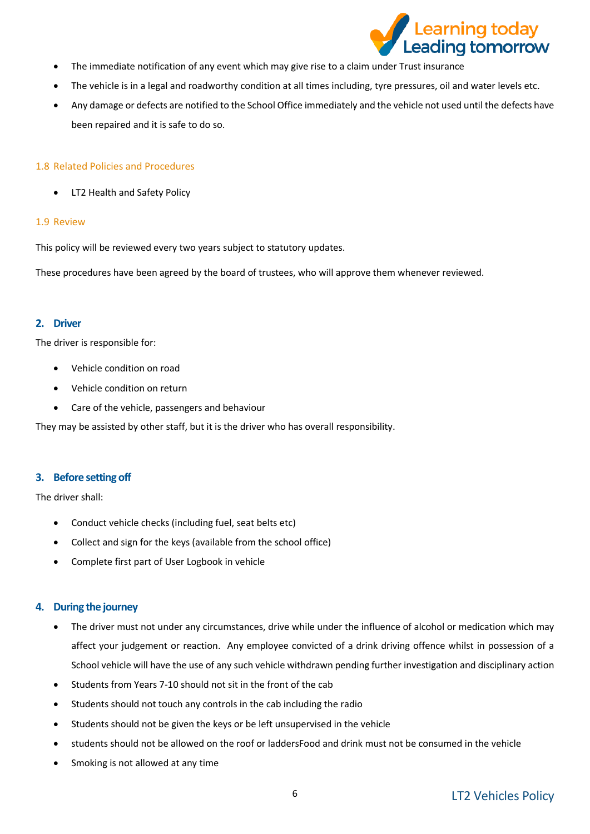

- The immediate notification of any event which may give rise to a claim under Trust insurance
- The vehicle is in a legal and roadworthy condition at all times including, tyre pressures, oil and water levels etc.
- Any damage or defects are notified to the School Office immediately and the vehicle not used until the defects have been repaired and it is safe to do so.

### 1.8 Related Policies and Procedures

• LT2 Health and Safety Policy

### 1.9 Review

This policy will be reviewed every two years subject to statutory updates.

These procedures have been agreed by the board of trustees, who will approve them whenever reviewed.

## <span id="page-5-0"></span>**2. Driver**

The driver is responsible for:

- Vehicle condition on road
- Vehicle condition on return
- Care of the vehicle, passengers and behaviour

They may be assisted by other staff, but it is the driver who has overall responsibility.

# <span id="page-5-1"></span>**3. Before setting off**

The driver shall:

- Conduct vehicle checks (including fuel, seat belts etc)
- Collect and sign for the keys (available from the school office)
- Complete first part of User Logbook in vehicle

# <span id="page-5-2"></span>**4. During the journey**

- The driver must not under any circumstances, drive while under the influence of alcohol or medication which may affect your judgement or reaction. Any employee convicted of a drink driving offence whilst in possession of a School vehicle will have the use of any such vehicle withdrawn pending further investigation and disciplinary action
- Students from Years 7-10 should not sit in the front of the cab
- Students should not touch any controls in the cab including the radio
- Students should not be given the keys or be left unsupervised in the vehicle
- students should not be allowed on the roof or laddersFood and drink must not be consumed in the vehicle
- Smoking is not allowed at any time

# LT2 Vehicles Policy 6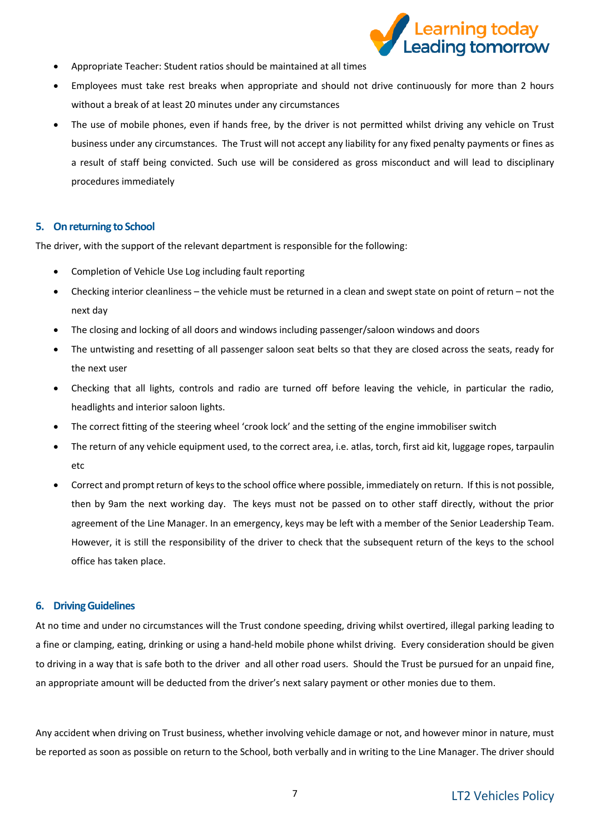

- Appropriate Teacher: Student ratios should be maintained at all times
- Employees must take rest breaks when appropriate and should not drive continuously for more than 2 hours without a break of at least 20 minutes under any circumstances
- The use of mobile phones, even if hands free, by the driver is not permitted whilst driving any vehicle on Trust business under any circumstances. The Trust will not accept any liability for any fixed penalty payments or fines as a result of staff being convicted. Such use will be considered as gross misconduct and will lead to disciplinary procedures immediately

### <span id="page-6-0"></span>**5. On returning to School**

The driver, with the support of the relevant department is responsible for the following:

- Completion of Vehicle Use Log including fault reporting
- Checking interior cleanliness the vehicle must be returned in a clean and swept state on point of return not the next day
- The closing and locking of all doors and windows including passenger/saloon windows and doors
- The untwisting and resetting of all passenger saloon seat belts so that they are closed across the seats, ready for the next user
- Checking that all lights, controls and radio are turned off before leaving the vehicle, in particular the radio, headlights and interior saloon lights.
- The correct fitting of the steering wheel 'crook lock' and the setting of the engine immobiliser switch
- The return of any vehicle equipment used, to the correct area, i.e. atlas, torch, first aid kit, luggage ropes, tarpaulin  $_{\text{a}tc}$
- Correct and prompt return of keys to the school office where possible, immediately on return. If this is not possible, then by 9am the next working day. The keys must not be passed on to other staff directly, without the prior agreement of the Line Manager. In an emergency, keys may be left with a member of the Senior Leadership Team. However, it is still the responsibility of the driver to check that the subsequent return of the keys to the school office has taken place.

# <span id="page-6-1"></span>**6. Driving Guidelines**

At no time and under no circumstances will the Trust condone speeding, driving whilst overtired, illegal parking leading to a fine or clamping, eating, drinking or using a hand-held mobile phone whilst driving. Every consideration should be given to driving in a way that is safe both to the driver and all other road users. Should the Trust be pursued for an unpaid fine, an appropriate amount will be deducted from the driver's next salary payment or other monies due to them.

Any accident when driving on Trust business, whether involving vehicle damage or not, and however minor in nature, must be reported as soon as possible on return to the School, both verbally and in writing to the Line Manager. The driver should